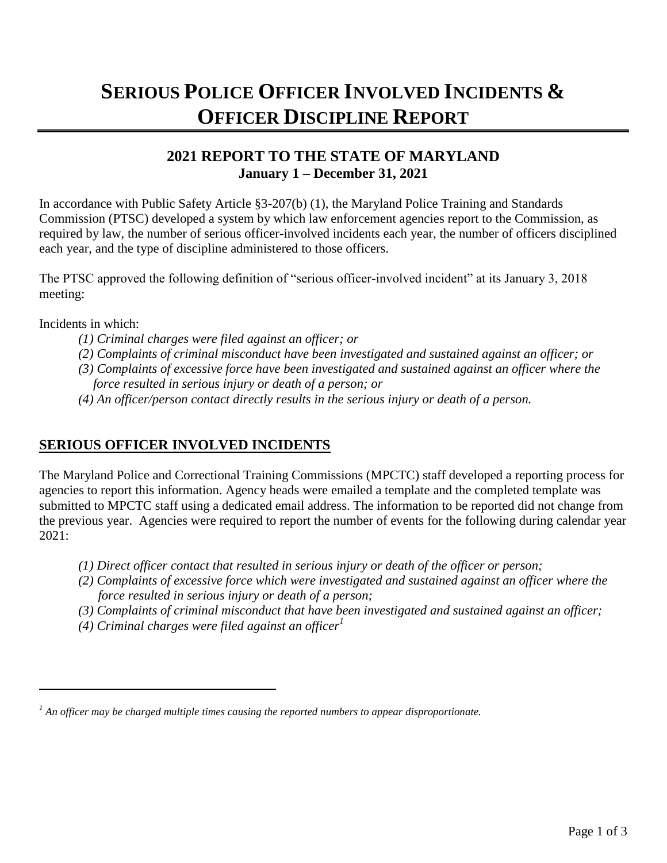# **SERIOUS POLICE OFFICER INVOLVED INCIDENTS & OFFICER DISCIPLINE REPORT**

## **2021 REPORT TO THE STATE OF MARYLAND January 1 – December 31, 2021**

In accordance with Public Safety Article §3-207(b) (1), the Maryland Police Training and Standards Commission (PTSC) developed a system by which law enforcement agencies report to the Commission, as required by law, the number of serious officer-involved incidents each year, the number of officers disciplined each year, and the type of discipline administered to those officers.

The PTSC approved the following definition of "serious officer-involved incident" at its January 3, 2018 meeting:

Incidents in which:

- *(1) Criminal charges were filed against an officer; or*
- *(2) Complaints of criminal misconduct have been investigated and sustained against an officer; or*
- *(3) Complaints of excessive force have been investigated and sustained against an officer where the*
- *force resulted in serious injury or death of a person; or*
- *(4) An officer/person contact directly results in the serious injury or death of a person.*

#### **SERIOUS OFFICER INVOLVED INCIDENTS**

The Maryland Police and Correctional Training Commissions (MPCTC) staff developed a reporting process for agencies to report this information. Agency heads were emailed a template and the completed template was submitted to MPCTC staff using a dedicated email address. The information to be reported did not change from the previous year. Agencies were required to report the number of events for the following during calendar year 2021:

- *(1) Direct officer contact that resulted in serious injury or death of the officer or person;*
- *(2) Complaints of excessive force which were investigated and sustained against an officer where the force resulted in serious injury or death of a person;*
- *(3) Complaints of criminal misconduct that have been investigated and sustained against an officer;*
- *(4) Criminal charges were filed against an officer<sup>1</sup>*

*<sup>1</sup> An officer may be charged multiple times causing the reported numbers to appear disproportionate.*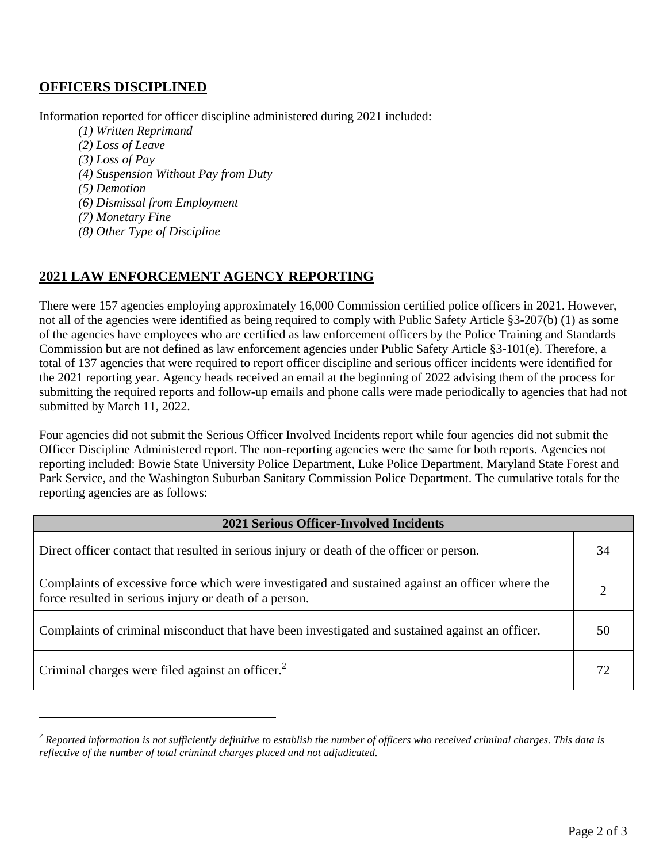### **OFFICERS DISCIPLINED**

Information reported for officer discipline administered during 2021 included:

- *(1) Written Reprimand*
- *(2) Loss of Leave*
- *(3) Loss of Pay*
- *(4) Suspension Without Pay from Duty*
- *(5) Demotion*
- *(6) Dismissal from Employment*
- *(7) Monetary Fine*
- *(8) Other Type of Discipline*

#### **2021 LAW ENFORCEMENT AGENCY REPORTING**

There were 157 agencies employing approximately 16,000 Commission certified police officers in 2021. However, not all of the agencies were identified as being required to comply with Public Safety Article §3-207(b) (1) as some of the agencies have employees who are certified as law enforcement officers by the Police Training and Standards Commission but are not defined as law enforcement agencies under Public Safety Article §3-101(e). Therefore, a total of 137 agencies that were required to report officer discipline and serious officer incidents were identified for the 2021 reporting year. Agency heads received an email at the beginning of 2022 advising them of the process for submitting the required reports and follow-up emails and phone calls were made periodically to agencies that had not submitted by March 11, 2022.

Four agencies did not submit the Serious Officer Involved Incidents report while four agencies did not submit the Officer Discipline Administered report. The non-reporting agencies were the same for both reports. Agencies not reporting included: Bowie State University Police Department, Luke Police Department, Maryland State Forest and Park Service, and the Washington Suburban Sanitary Commission Police Department. The cumulative totals for the reporting agencies are as follows:

| <b>2021 Serious Officer-Involved Incidents</b>                                                                                                             |    |
|------------------------------------------------------------------------------------------------------------------------------------------------------------|----|
| Direct officer contact that resulted in serious injury or death of the officer or person.                                                                  | 34 |
| Complaints of excessive force which were investigated and sustained against an officer where the<br>force resulted in serious injury or death of a person. |    |
| Complaints of criminal misconduct that have been investigated and sustained against an officer.                                                            | 50 |
| Criminal charges were filed against an officer. <sup>2</sup>                                                                                               | 72 |

*<sup>2</sup> Reported information is not sufficiently definitive to establish the number of officers who received criminal charges. This data is reflective of the number of total criminal charges placed and not adjudicated.*